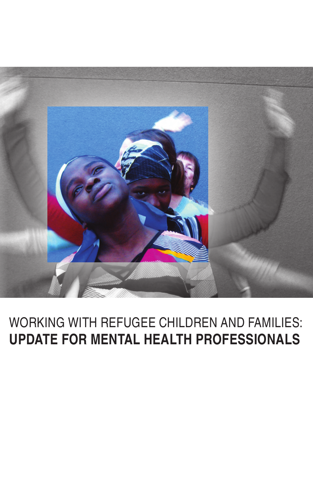

# WORKING WITH REFUGEE CHILDREN AND FAMILIES: **Update for Mental Health Professionals**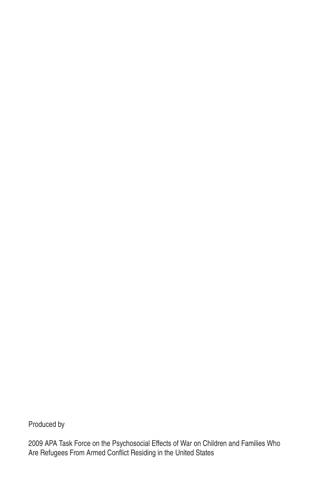Produced by

2009 APA Task Force on the Psychosocial Effects of War on Children and Families Who Are Refugees From Armed Conflict Residing in the United States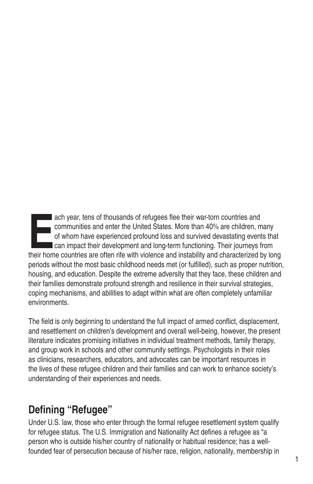ach year, tens of thousands of refugees flee their war-torn countries and<br>
communities and enter the United States. More than 40% are children, many<br>
of whom have experienced profound loss and survived devastating events t ach year, tens of thousands of refugees flee their war-torn countries and communities and enter the United States. More than 40% are children, many of whom have experienced profound loss and survived devastating events that **Example 2** can impact their development and long-term functioning. Their journeys from periods without the most basic childhood needs met (or fulfilled), such as proper nutrition, housing, and education. Despite the extreme adversity that they face, these children and their families demonstrate profound strength and resilience in their survival strategies, coping mechanisms, and abilities to adapt within what are often completely unfamiliar environments.

The field is only beginning to understand the full impact of armed conflict, displacement, and resettlement on children's development and overall well-being, however, the present literature indicates promising initiatives in individual treatment methods, family therapy, and group work in schools and other community settings. Psychologists in their roles as clinicians, researchers, educators, and advocates can be important resources in the lives of these refugee children and their families and can work to enhance society's understanding of their experiences and needs.

# **Defining "Refugee"**

Under U.S. law, those who enter through the formal refugee resettlement system qualify for refugee status. The U.S. Immigration and Nationality Act defines a refugee as "a person who is outside his/her country of nationality or habitual residence; has a wellfounded fear of persecution because of his/her race, religion, nationality, membership in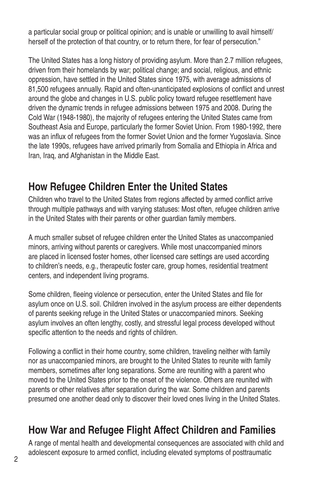a particular social group or political opinion; and is unable or unwilling to avail himself/ herself of the protection of that country, or to return there, for fear of persecution."

The United States has a long history of providing asylum. More than 2.7 million refugees, driven from their homelands by war; political change; and social, religious, and ethnic oppression, have settled in the United States since 1975, with average admissions of 81,500 refugees annually. Rapid and often-unanticipated explosions of conflict and unrest around the globe and changes in U.S. public policy toward refugee resettlement have driven the dynamic trends in refugee admissions between 1975 and 2008. During the Cold War (1948-1980), the majority of refugees entering the United States came from Southeast Asia and Europe, particularly the former Soviet Union. From 1980-1992, there was an influx of refugees from the former Soviet Union and the former Yugoslavia. Since the late 1990s, refugees have arrived primarily from Somalia and Ethiopia in Africa and Iran, Iraq, and Afghanistan in the Middle East.

## **How Refugee Children Enter the United States**

Children who travel to the United States from regions affected by armed conflict arrive through multiple pathways and with varying statuses: Most often, refugee children arrive in the United States with their parents or other guardian family members.

A much smaller subset of refugee children enter the United States as unaccompanied minors, arriving without parents or caregivers. While most unaccompanied minors are placed in licensed foster homes, other licensed care settings are used according to children's needs, e.g., therapeutic foster care, group homes, residential treatment centers, and independent living programs.

Some children, fleeing violence or persecution, enter the United States and file for asylum once on U.S. soil. Children involved in the asylum process are either dependents of parents seeking refuge in the United States or unaccompanied minors. Seeking asylum involves an often lengthy, costly, and stressful legal process developed without specific attention to the needs and rights of children.

Following a conflict in their home country, some children, traveling neither with family nor as unaccompanied minors, are brought to the United States to reunite with family members, sometimes after long separations. Some are reuniting with a parent who moved to the United States prior to the onset of the violence. Others are reunited with parents or other relatives after separation during the war. Some children and parents presumed one another dead only to discover their loved ones living in the United States.

# **How War and Refugee Flight Affect Children and Families**

A range of mental health and developmental consequences are associated with child and adolescent exposure to armed conflict, including elevated symptoms of posttraumatic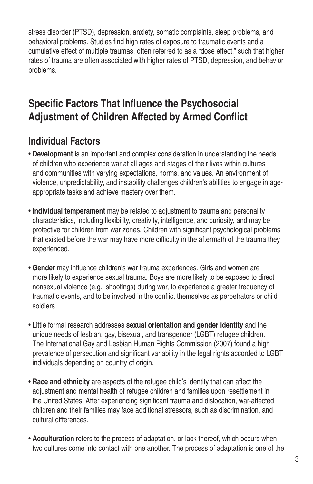stress disorder (PTSD), depression, anxiety, somatic complaints, sleep problems, and behavioral problems. Studies find high rates of exposure to traumatic events and a cumulative effect of multiple traumas, often referred to as a "dose effect," such that higher rates of trauma are often associated with higher rates of PTSD, depression, and behavior problems.

# **Specific Factors That Influence the Psychosocial Adjustment of Children Affected by Armed Conflict**

## **Individual Factors**

- **Development** is an important and complex consideration in understanding the needs of children who experience war at all ages and stages of their lives within cultures and communities with varying expectations, norms, and values. An environment of violence, unpredictability, and instability challenges children's abilities to engage in ageappropriate tasks and achieve mastery over them.
- **Individual temperament** may be related to adjustment to trauma and personality characteristics, including flexibility, creativity, intelligence, and curiosity, and may be protective for children from war zones. Children with significant psychological problems that existed before the war may have more difficulty in the aftermath of the trauma they experienced.
- **Gender** may influence children's war trauma experiences. Girls and women are more likely to experience sexual trauma. Boys are more likely to be exposed to direct nonsexual violence (e.g., shootings) during war, to experience a greater frequency of traumatic events, and to be involved in the conflict themselves as perpetrators or child soldiers.
- Little formal research addresses **sexual orientation and gender identity** and the unique needs of lesbian, gay, bisexual, and transgender (LGBT) refugee children. The International Gay and Lesbian Human Rights Commission (2007) found a high prevalence of persecution and significant variability in the legal rights accorded to LGBT individuals depending on country of origin.
- **Race and ethnicity** are aspects of the refugee child's identity that can affect the adjustment and mental health of refugee children and families upon resettlement in the United States. After experiencing significant trauma and dislocation, war-affected children and their families may face additional stressors, such as discrimination, and cultural differences.
- **Acculturation** refers to the process of adaptation, or lack thereof, which occurs when two cultures come into contact with one another. The process of adaptation is one of the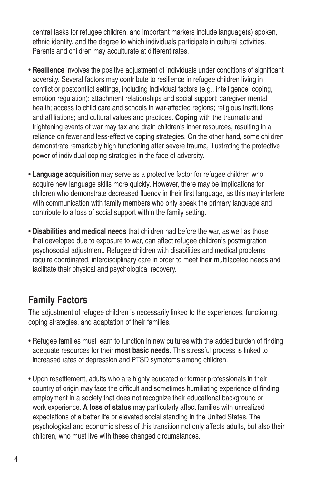central tasks for refugee children, and important markers include language(s) spoken, ethnic identity, and the degree to which individuals participate in cultural activities. Parents and children may acculturate at different rates.

- **Resilience** involves the positive adjustment of individuals under conditions of significant adversity. Several factors may contribute to resilience in refugee children living in conflict or postconflict settings, including individual factors (e.g., intelligence, coping, emotion regulation); attachment relationships and social support; caregiver mental health; access to child care and schools in war-affected regions; religious institutions and affiliations; and cultural values and practices. **Coping** with the traumatic and frightening events of war may tax and drain children's inner resources, resulting in a reliance on fewer and less-effective coping strategies. On the other hand, some children demonstrate remarkably high functioning after severe trauma, illustrating the protective power of individual coping strategies in the face of adversity.
- **Language acquisition** may serve as a protective factor for refugee children who acquire new language skills more quickly. However, there may be implications for children who demonstrate decreased fluency in their first language, as this may interfere with communication with family members who only speak the primary language and contribute to a loss of social support within the family setting.
- **Disabilities and medical needs** that children had before the war, as well as those that developed due to exposure to war, can affect refugee children's postmigration psychosocial adjustment. Refugee children with disabilities and medical problems require coordinated, interdisciplinary care in order to meet their multifaceted needs and facilitate their physical and psychological recovery.

## **Family Factors**

The adjustment of refugee children is necessarily linked to the experiences, functioning, coping strategies, and adaptation of their families.

- Refugee families must learn to function in new cultures with the added burden of finding adequate resources for their **most basic needs.** This stressful process is linked to increased rates of depression and PTSD symptoms among children.
- Upon resettlement, adults who are highly educated or former professionals in their country of origin may face the difficult and sometimes humiliating experience of finding employment in a society that does not recognize their educational background or work experience. **A loss of status** may particularly affect families with unrealized expectations of a better life or elevated social standing in the United States. The psychological and economic stress of this transition not only affects adults, but also their children, who must live with these changed circumstances.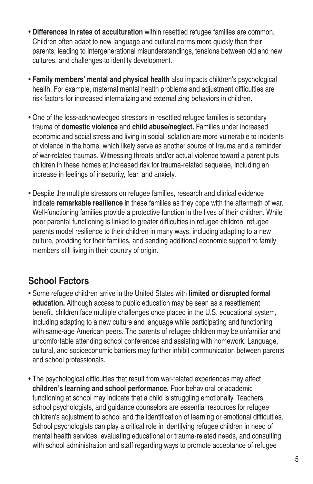- **Differences in rates of acculturation** within resettled refugee families are common. Children often adapt to new language and cultural norms more quickly than their parents, leading to intergenerational misunderstandings, tensions between old and new cultures, and challenges to identity development.
- **Family members' mental and physical health** also impacts children's psychological health. For example, maternal mental health problems and adjustment difficulties are risk factors for increased internalizing and externalizing behaviors in children.
- One of the less-acknowledged stressors in resettled refugee families is secondary trauma of **domestic violence** and **child abuse/neglect.** Families under increased economic and social stress and living in social isolation are more vulnerable to incidents of violence in the home, which likely serve as another source of trauma and a reminder of war-related traumas. Witnessing threats and/or actual violence toward a parent puts children in these homes at increased risk for trauma-related sequelae, including an increase in feelings of insecurity, fear, and anxiety.
- Despite the multiple stressors on refugee families, research and clinical evidence indicate **remarkable resilience** in these families as they cope with the aftermath of war. Well-functioning families provide a protective function in the lives of their children. While poor parental functioning is linked to greater difficulties in refugee children, refugee parents model resilience to their children in many ways, including adapting to a new culture, providing for their families, and sending additional economic support to family members still living in their country of origin.

# **School Factors**

- Some refugee children arrive in the United States with **limited or disrupted formal education.** Although access to public education may be seen as a resettlement benefit, children face multiple challenges once placed in the U.S. educational system, including adapting to a new culture and language while participating and functioning with same-age American peers. The parents of refugee children may be unfamiliar and uncomfortable attending school conferences and assisting with homework. Language, cultural, and socioeconomic barriers may further inhibit communication between parents and school professionals.
- The psychological difficulties that result from war-related experiences may affect **children's learning and school performance.** Poor behavioral or academic functioning at school may indicate that a child is struggling emotionally. Teachers, school psychologists, and guidance counselors are essential resources for refugee children's adjustment to school and the identification of learning or emotional difficulties. School psychologists can play a critical role in identifying refugee children in need of mental health services, evaluating educational or trauma-related needs, and consulting with school administration and staff regarding ways to promote acceptance of refugee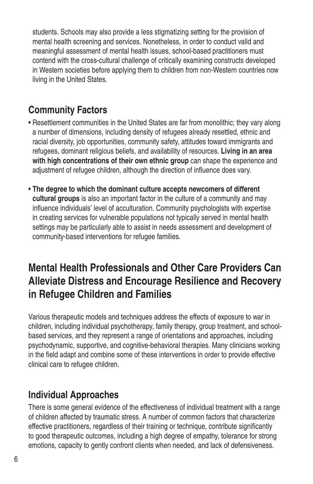students. Schools may also provide a less stigmatizing setting for the provision of mental health screening and services. Nonetheless, in order to conduct valid and meaningful assessment of mental health issues, school-based practitioners must contend with the cross-cultural challenge of critically examining constructs developed in Western societies before applying them to children from non-Western countries now living in the United States.

## **Community Factors**

- Resettlement communities in the United States are far from monolithic; they vary along a number of dimensions, including density of refugees already resettled, ethnic and racial diversity, job opportunities, community safety, attitudes toward immigrants and refugees, dominant religious beliefs, and availability of resources. **Living in an area with high concentrations of their own ethnic group** can shape the experience and adjustment of refugee children, although the direction of influence does vary.
- **The degree to which the dominant culture accepts newcomers of different cultural groups** is also an important factor in the culture of a community and may influence individuals' level of acculturation. Community psychologists with expertise in creating services for vulnerable populations not typically served in mental health settings may be particularly able to assist in needs assessment and development of community-based interventions for refugee families.

# **Mental Health Professionals and Other Care Providers Can Alleviate Distress and Encourage Resilience and Recovery in Refugee Children and Families**

Various therapeutic models and techniques address the effects of exposure to war in children, including individual psychotherapy, family therapy, group treatment, and schoolbased services, and they represent a range of orientations and approaches, including psychodynamic, supportive, and cognitive-behavioral therapies. Many clinicians working in the field adapt and combine some of these interventions in order to provide effective clinical care to refugee children.

## **Individual Approaches**

There is some general evidence of the effectiveness of individual treatment with a range of children affected by traumatic stress. A number of common factors that characterize effective practitioners, regardless of their training or technique, contribute significantly to good therapeutic outcomes, including a high degree of empathy, tolerance for strong emotions, capacity to gently confront clients when needed, and lack of defensiveness.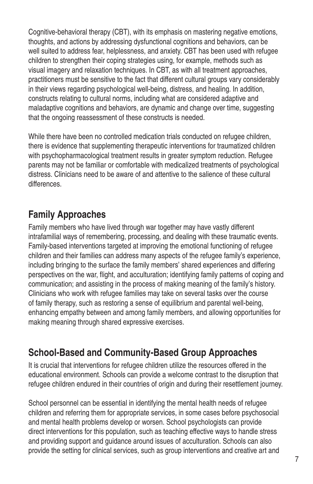Cognitive-behavioral therapy (CBT), with its emphasis on mastering negative emotions, thoughts, and actions by addressing dysfunctional cognitions and behaviors, can be well suited to address fear, helplessness, and anxiety. CBT has been used with refugee children to strengthen their coping strategies using, for example, methods such as visual imagery and relaxation techniques. In CBT, as with all treatment approaches, practitioners must be sensitive to the fact that different cultural groups vary considerably in their views regarding psychological well-being, distress, and healing. In addition, constructs relating to cultural norms, including what are considered adaptive and maladaptive cognitions and behaviors, are dynamic and change over time, suggesting that the ongoing reassessment of these constructs is needed.

While there have been no controlled medication trials conducted on refugee children, there is evidence that supplementing therapeutic interventions for traumatized children with psychopharmacological treatment results in greater symptom reduction. Refugee parents may not be familiar or comfortable with medicalized treatments of psychological distress. Clinicians need to be aware of and attentive to the salience of these cultural differences.

## **Family Approaches**

Family members who have lived through war together may have vastly different intrafamilial ways of remembering, processing, and dealing with these traumatic events. Family-based interventions targeted at improving the emotional functioning of refugee children and their families can address many aspects of the refugee family's experience, including bringing to the surface the family members' shared experiences and differing perspectives on the war, flight, and acculturation; identifying family patterns of coping and communication; and assisting in the process of making meaning of the family's history. Clinicians who work with refugee families may take on several tasks over the course of family therapy, such as restoring a sense of equilibrium and parental well-being, enhancing empathy between and among family members, and allowing opportunities for making meaning through shared expressive exercises.

## **School-Based and Community-Based Group Approaches**

It is crucial that interventions for refugee children utilize the resources offered in the educational environment. Schools can provide a welcome contrast to the disruption that refugee children endured in their countries of origin and during their resettlement journey.

School personnel can be essential in identifying the mental health needs of refugee children and referring them for appropriate services, in some cases before psychosocial and mental health problems develop or worsen. School psychologists can provide direct interventions for this population, such as teaching effective ways to handle stress and providing support and guidance around issues of acculturation. Schools can also provide the setting for clinical services, such as group interventions and creative art and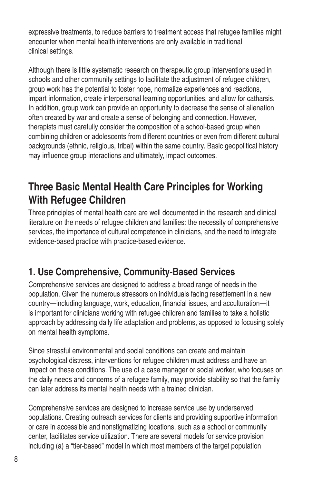expressive treatments, to reduce barriers to treatment access that refugee families might encounter when mental health interventions are only available in traditional clinical settings.

Although there is little systematic research on therapeutic group interventions used in schools and other community settings to facilitate the adjustment of refugee children, group work has the potential to foster hope, normalize experiences and reactions, impart information, create interpersonal learning opportunities, and allow for catharsis. In addition, group work can provide an opportunity to decrease the sense of alienation often created by war and create a sense of belonging and connection. However, therapists must carefully consider the composition of a school-based group when combining children or adolescents from different countries or even from different cultural backgrounds (ethnic, religious, tribal) within the same country. Basic geopolitical history may influence group interactions and ultimately, impact outcomes.

# **Three Basic Mental Health Care Principles for Working With Refugee Children**

Three principles of mental health care are well documented in the research and clinical literature on the needs of refugee children and families: the necessity of comprehensive services, the importance of cultural competence in clinicians, and the need to integrate evidence-based practice with practice-based evidence.

## **1. Use Comprehensive, Community-Based Services**

Comprehensive services are designed to address a broad range of needs in the population. Given the numerous stressors on individuals facing resettlement in a new country—including language, work, education, financial issues, and acculturation—it is important for clinicians working with refugee children and families to take a holistic approach by addressing daily life adaptation and problems, as opposed to focusing solely on mental health symptoms.

Since stressful environmental and social conditions can create and maintain psychological distress, interventions for refugee children must address and have an impact on these conditions. The use of a case manager or social worker, who focuses on the daily needs and concerns of a refugee family, may provide stability so that the family can later address its mental health needs with a trained clinician.

Comprehensive services are designed to increase service use by underserved populations. Creating outreach services for clients and providing supportive information or care in accessible and nonstigmatizing locations, such as a school or community center, facilitates service utilization. There are several models for service provision including (a) a "tier-based" model in which most members of the target population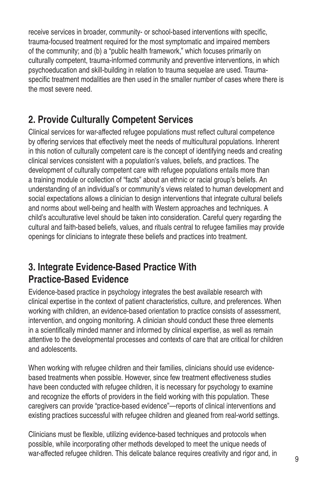receive services in broader, community- or school-based interventions with specific, trauma-focused treatment required for the most symptomatic and impaired members of the community; and (b) a "public health framework," which focuses primarily on culturally competent, trauma-informed community and preventive interventions, in which psychoeducation and skill-building in relation to trauma sequelae are used. Traumaspecific treatment modalities are then used in the smaller number of cases where there is the most severe need.

## **2. Provide Culturally Competent Services**

Clinical services for war-affected refugee populations must reflect cultural competence by offering services that effectively meet the needs of multicultural populations. Inherent in this notion of culturally competent care is the concept of identifying needs and creating clinical services consistent with a population's values, beliefs, and practices. The development of culturally competent care with refugee populations entails more than a training module or collection of "facts" about an ethnic or racial group's beliefs. An understanding of an individual's or community's views related to human development and social expectations allows a clinician to design interventions that integrate cultural beliefs and norms about well-being and health with Western approaches and techniques. A child's acculturative level should be taken into consideration. Careful query regarding the cultural and faith-based beliefs, values, and rituals central to refugee families may provide openings for clinicians to integrate these beliefs and practices into treatment.

## **3. Integrate Evidence-Based Practice With Practice-Based Evidence**

Evidence-based practice in psychology integrates the best available research with clinical expertise in the context of patient characteristics, culture, and preferences. When working with children, an evidence-based orientation to practice consists of assessment, intervention, and ongoing monitoring. A clinician should conduct these three elements in a scientifically minded manner and informed by clinical expertise, as well as remain attentive to the developmental processes and contexts of care that are critical for children and adolescents.

When working with refugee children and their families, clinicians should use evidencebased treatments when possible. However, since few treatment effectiveness studies have been conducted with refugee children, it is necessary for psychology to examine and recognize the efforts of providers in the field working with this population. These caregivers can provide "practice-based evidence"—reports of clinical interventions and existing practices successful with refugee children and gleaned from real-world settings.

Clinicians must be flexible, utilizing evidence-based techniques and protocols when possible, while incorporating other methods developed to meet the unique needs of war-affected refugee children. This delicate balance requires creativity and rigor and, in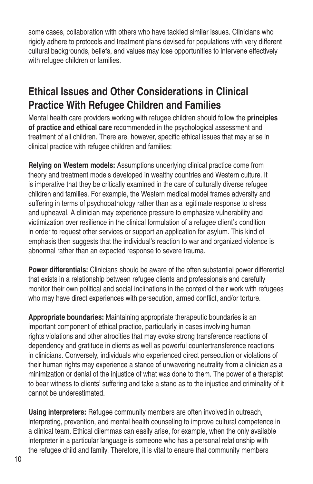some cases, collaboration with others who have tackled similar issues. Clinicians who rigidly adhere to protocols and treatment plans devised for populations with very different cultural backgrounds, beliefs, and values may lose opportunities to intervene effectively with refugee children or families.

# **Ethical Issues and Other Considerations in Clinical Practice With Refugee Children and Families**

Mental health care providers working with refugee children should follow the **principles of practice and ethical care** recommended in the psychological assessment and treatment of all children. There are, however, specific ethical issues that may arise in clinical practice with refugee children and families:

**Relying on Western models:** Assumptions underlying clinical practice come from theory and treatment models developed in wealthy countries and Western culture. It is imperative that they be critically examined in the care of culturally diverse refugee children and families. For example, the Western medical model frames adversity and suffering in terms of psychopathology rather than as a legitimate response to stress and upheaval. A clinician may experience pressure to emphasize vulnerability and victimization over resilience in the clinical formulation of a refugee client's condition in order to request other services or support an application for asylum. This kind of emphasis then suggests that the individual's reaction to war and organized violence is abnormal rather than an expected response to severe trauma.

**Power differentials:** Clinicians should be aware of the often substantial power differential that exists in a relationship between refugee clients and professionals and carefully monitor their own political and social inclinations in the context of their work with refugees who may have direct experiences with persecution, armed conflict, and/or torture.

**Appropriate boundaries:** Maintaining appropriate therapeutic boundaries is an important component of ethical practice, particularly in cases involving human rights violations and other atrocities that may evoke strong transference reactions of dependency and gratitude in clients as well as powerful countertransference reactions in clinicians. Conversely, individuals who experienced direct persecution or violations of their human rights may experience a stance of unwavering neutrality from a clinician as a minimization or denial of the injustice of what was done to them. The power of a therapist to bear witness to clients' suffering and take a stand as to the injustice and criminality of it cannot be underestimated.

**Using interpreters:** Refugee community members are often involved in outreach, interpreting, prevention, and mental health counseling to improve cultural competence in a clinical team. Ethical dilemmas can easily arise, for example, when the only available interpreter in a particular language is someone who has a personal relationship with the refugee child and family. Therefore, it is vital to ensure that community members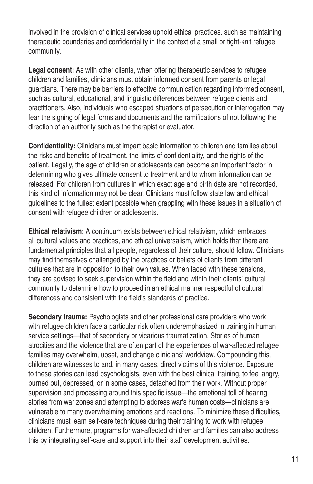involved in the provision of clinical services uphold ethical practices, such as maintaining therapeutic boundaries and confidentiality in the context of a small or tight-knit refugee community.

**Legal consent:** As with other clients, when offering therapeutic services to refugee children and families, clinicians must obtain informed consent from parents or legal guardians. There may be barriers to effective communication regarding informed consent, such as cultural, educational, and linguistic differences between refugee clients and practitioners. Also, individuals who escaped situations of persecution or interrogation may fear the signing of legal forms and documents and the ramifications of not following the direction of an authority such as the therapist or evaluator.

**Confidentiality:** Clinicians must impart basic information to children and families about the risks and benefits of treatment, the limits of confidentiality, and the rights of the patient. Legally, the age of children or adolescents can become an important factor in determining who gives ultimate consent to treatment and to whom information can be released. For children from cultures in which exact age and birth date are not recorded, this kind of information may not be clear. Clinicians must follow state law and ethical guidelines to the fullest extent possible when grappling with these issues in a situation of consent with refugee children or adolescents.

**Ethical relativism:** A continuum exists between ethical relativism, which embraces all cultural values and practices, and ethical universalism, which holds that there are fundamental principles that all people, regardless of their culture, should follow. Clinicians may find themselves challenged by the practices or beliefs of clients from different cultures that are in opposition to their own values. When faced with these tensions, they are advised to seek supervision within the field and within their clients' cultural community to determine how to proceed in an ethical manner respectful of cultural differences and consistent with the field's standards of practice.

**Secondary trauma:** Psychologists and other professional care providers who work with refugee children face a particular risk often underemphasized in training in human service settings—that of secondary or vicarious traumatization. Stories of human atrocities and the violence that are often part of the experiences of war-affected refugee families may overwhelm, upset, and change clinicians' worldview. Compounding this, children are witnesses to and, in many cases, direct victims of this violence. Exposure to these stories can lead psychologists, even with the best clinical training, to feel angry, burned out, depressed, or in some cases, detached from their work. Without proper supervision and processing around this specific issue—the emotional toll of hearing stories from war zones and attempting to address war's human costs—clinicians are vulnerable to many overwhelming emotions and reactions. To minimize these difficulties, clinicians must learn self-care techniques during their training to work with refugee children. Furthermore, programs for war-affected children and families can also address this by integrating self-care and support into their staff development activities.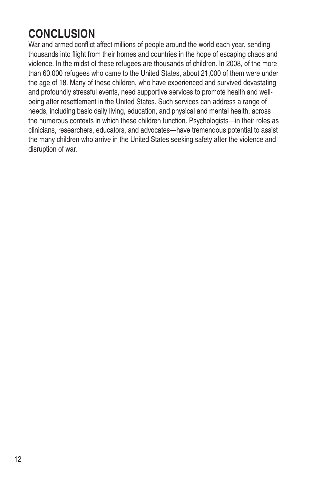# **Conclusion**

War and armed conflict affect millions of people around the world each year, sending thousands into flight from their homes and countries in the hope of escaping chaos and violence. In the midst of these refugees are thousands of children. In 2008, of the more than 60,000 refugees who came to the United States, about 21,000 of them were under the age of 18. Many of these children, who have experienced and survived devastating and profoundly stressful events, need supportive services to promote health and wellbeing after resettlement in the United States. Such services can address a range of needs, including basic daily living, education, and physical and mental health, across the numerous contexts in which these children function. Psychologists—in their roles as clinicians, researchers, educators, and advocates—have tremendous potential to assist the many children who arrive in the United States seeking safety after the violence and disruption of war.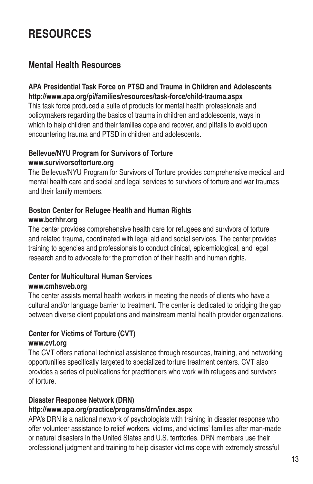# **Resources**

## **Mental Health Resources**

#### **APA Presidential Task Force on PTSD and Trauma in Children and Adolescents http://www.apa.org/pi/families/resources/task-force/child-trauma.aspx**

This task force produced a suite of products for mental health professionals and policymakers regarding the basics of trauma in children and adolescents, ways in which to help children and their families cope and recover, and pitfalls to avoid upon encountering trauma and PTSD in children and adolescents.

## **Bellevue/NYU Program for Survivors of Torture www.survivorsoftorture.org**

The Bellevue/NYU Program for Survivors of Torture provides comprehensive medical and mental health care and social and legal services to survivors of torture and war traumas and their family members.

## **Boston Center for Refugee Health and Human Rights www.bcrhhr.org**

The center provides comprehensive health care for refugees and survivors of torture and related trauma, coordinated with legal aid and social services. The center provides training to agencies and professionals to conduct clinical, epidemiological, and legal research and to advocate for the promotion of their health and human rights.

### **Center for Multicultural Human Services www.cmhsweb.org**

The center assists mental health workers in meeting the needs of clients who have a cultural and/or language barrier to treatment. The center is dedicated to bridging the gap between diverse client populations and mainstream mental health provider organizations.

#### **Center for Victims of Torture (CVT) www.cvt.org**

The CVT offers national technical assistance through resources, training, and networking opportunities specifically targeted to specialized torture treatment centers. CVT also provides a series of publications for practitioners who work with refugees and survivors of torture.

### **Disaster Response Network (DRN)**

### **http://www.apa.org/practice/programs/drn/index.aspx**

APA's DRN is a national network of psychologists with training in disaster response who offer volunteer assistance to relief workers, victims, and victims' families after man-made or natural disasters in the United States and U.S. territories. DRN members use their professional judgment and training to help disaster victims cope with extremely stressful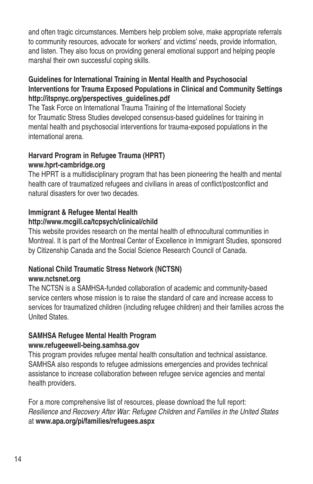and often tragic circumstances. Members help problem solve, make appropriate referrals to community resources, advocate for workers' and victims' needs, provide information, and listen. They also focus on providing general emotional support and helping people marshal their own successful coping skills.

### **Guidelines for International Training in Mental Health and Psychosocial Interventions for Trauma Exposed Populations in Clinical and Community Settings http://itspnyc.org/perspectives\_guidelines.pdf**

The Task Force on International Trauma Training of the International Society for Traumatic Stress Studies developed consensus-based guidelines for training in mental health and psychosocial interventions for trauma-exposed populations in the international arena.

## **Harvard Program in Refugee Trauma (HPRT) www.hprt-cambridge.org**

The HPRT is a multidisciplinary program that has been pioneering the health and mental health care of traumatized refugees and civilians in areas of conflict/postconflict and natural disasters for over two decades.

## **Immigrant & Refugee Mental Health**

## **http://www.mcgill.ca/tcpsych/clinical/child**

This website provides research on the mental health of ethnocultural communities in Montreal. It is part of the Montreal Center of Excellence in Immigrant Studies, sponsored by Citizenship Canada and the Social Science Research Council of Canada.

#### **National Child Traumatic Stress Network (NCTSN) www.nctsnet.org**

The NCTSN is a SAMHSA-funded collaboration of academic and community-based service centers whose mission is to raise the standard of care and increase access to services for traumatized children (including refugee children) and their families across the United States.

### **SAMHSA Refugee Mental Health Program www.refugeewell-being.samhsa.gov**

This program provides refugee mental health consultation and technical assistance. SAMHSA also responds to refugee admissions emergencies and provides technical assistance to increase collaboration between refugee service agencies and mental health providers.

For a more comprehensive list of resources, please download the full report: *Resilience and Recovery After War: Refugee Children and Families in the United States*  at **www.apa.org/pi/families/refugees.aspx**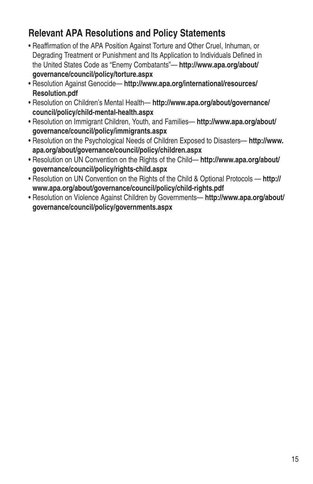## **Relevant APA Resolutions and Policy Statements**

- Reaffirmation of the APA Position Against Torture and Other Cruel, Inhuman, or Degrading Treatment or Punishment and Its Application to Individuals Defined in the United States Code as "Enemy Combatants"— **http://www.apa.org/about/ governance/council/policy/torture.aspx**
- Resolution Against Genocide— **http://www.apa.org/international/resources/ Resolution.pdf**
- Resolution on Children's Mental Health— **http://www.apa.org/about/governance/ council/policy/child-mental-health.aspx**
- Resolution on Immigrant Children, Youth, and Families— **http://www.apa.org/about/ governance/council/policy/immigrants.aspx**
- Resolution on the Psychological Needs of Children Exposed to Disasters— **http://www. apa.org/about/governance/council/policy/children.aspx**
- Resolution on UN Convention on the Rights of the Child— **http://www.apa.org/about/ governance/council/policy/rights-child.aspx**
- Resolution on UN Convention on the Rights of the Child & Optional Protocols **http:// www.apa.org/about/governance/council/policy/child-rights.pdf**
- Resolution on Violence Against Children by Governments— **http://www.apa.org/about/ governance/council/policy/governments.aspx**